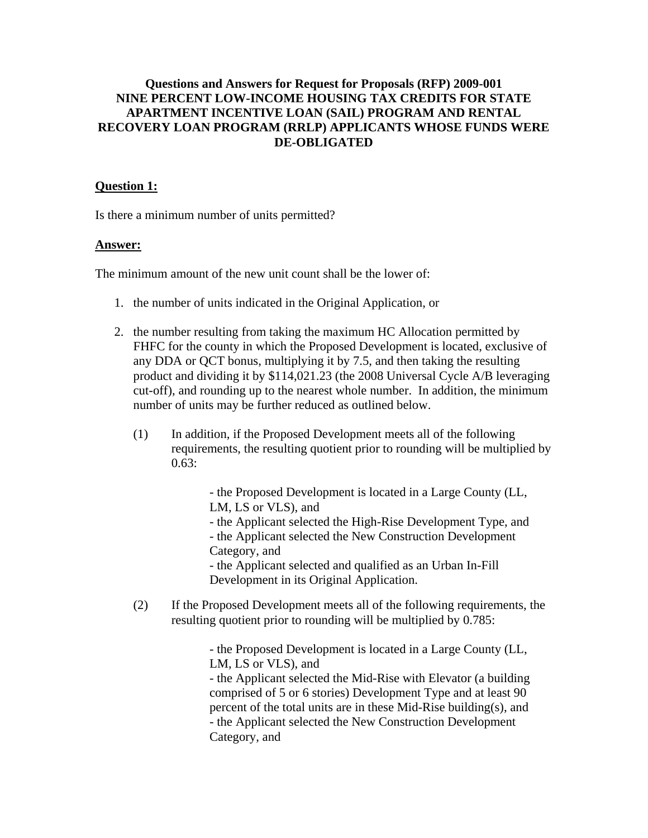### **Questions and Answers for Request for Proposals (RFP) 2009-001 NINE PERCENT LOW-INCOME HOUSING TAX CREDITS FOR STATE APARTMENT INCENTIVE LOAN (SAIL) PROGRAM AND RENTAL RECOVERY LOAN PROGRAM (RRLP) APPLICANTS WHOSE FUNDS WERE DE-OBLIGATED**

#### **Question 1:**

Is there a minimum number of units permitted?

### **Answer:**

The minimum amount of the new unit count shall be the lower of:

- 1. the number of units indicated in the Original Application, or
- 2. the number resulting from taking the maximum HC Allocation permitted by FHFC for the county in which the Proposed Development is located, exclusive of any DDA or QCT bonus, multiplying it by 7.5, and then taking the resulting product and dividing it by \$114,021.23 (the 2008 Universal Cycle A/B leveraging cut-off), and rounding up to the nearest whole number. In addition, the minimum number of units may be further reduced as outlined below.
	- (1) In addition, if the Proposed Development meets all of the following requirements, the resulting quotient prior to rounding will be multiplied by 0.63:

 - the Proposed Development is located in a Large County (LL, LM, LS or VLS), and

 - the Applicant selected the High-Rise Development Type, and - the Applicant selected the New Construction Development Category, and

 - the Applicant selected and qualified as an Urban In-Fill Development in its Original Application.

(2) If the Proposed Development meets all of the following requirements, the resulting quotient prior to rounding will be multiplied by 0.785:

> - the Proposed Development is located in a Large County (LL, LM, LS or VLS), and - the Applicant selected the Mid-Rise with Elevator (a building comprised of 5 or 6 stories) Development Type and at least 90 percent of the total units are in these Mid-Rise building(s), and - the Applicant selected the New Construction Development Category, and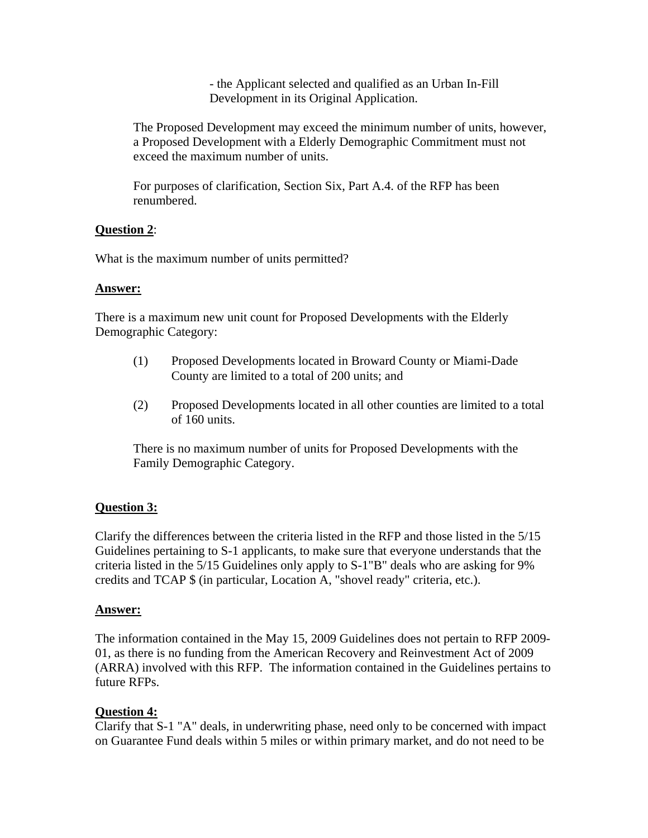- the Applicant selected and qualified as an Urban In-Fill Development in its Original Application.

The Proposed Development may exceed the minimum number of units, however, a Proposed Development with a Elderly Demographic Commitment must not exceed the maximum number of units.

For purposes of clarification, Section Six, Part A.4. of the RFP has been renumbered.

### **Question 2**:

What is the maximum number of units permitted?

#### **Answer:**

There is a maximum new unit count for Proposed Developments with the Elderly Demographic Category:

- (1) Proposed Developments located in Broward County or Miami-Dade County are limited to a total of 200 units; and
- (2) Proposed Developments located in all other counties are limited to a total of 160 units.

There is no maximum number of units for Proposed Developments with the Family Demographic Category.

# **Question 3:**

Clarify the differences between the criteria listed in the RFP and those listed in the 5/15 Guidelines pertaining to S-1 applicants, to make sure that everyone understands that the criteria listed in the 5/15 Guidelines only apply to S-1"B" deals who are asking for 9% credits and TCAP \$ (in particular, Location A, "shovel ready" criteria, etc.).

#### **Answer:**

The information contained in the May 15, 2009 Guidelines does not pertain to RFP 2009- 01, as there is no funding from the American Recovery and Reinvestment Act of 2009 (ARRA) involved with this RFP. The information contained in the Guidelines pertains to future RFPs.

# **Question 4:**

Clarify that S-1 "A" deals, in underwriting phase, need only to be concerned with impact on Guarantee Fund deals within 5 miles or within primary market, and do not need to be